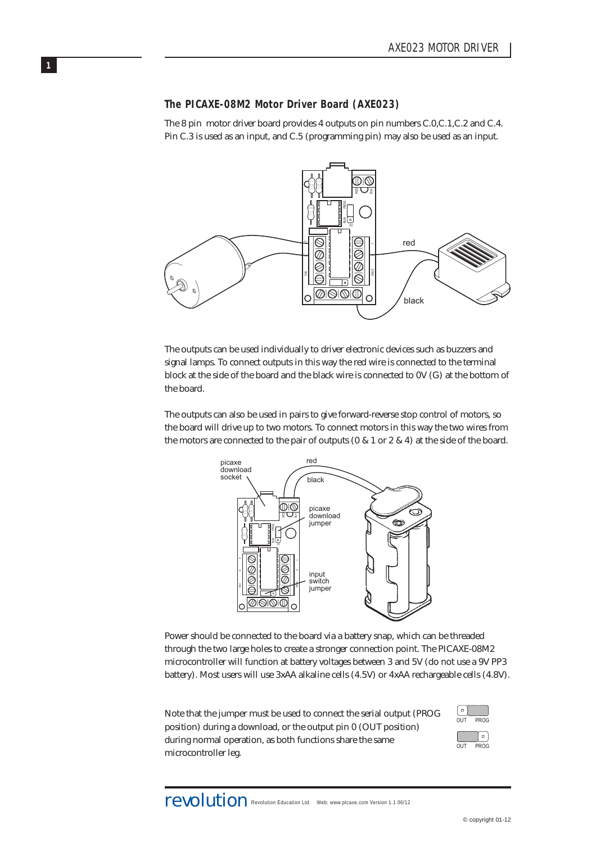# **The PICAXE-08M2 Motor Driver Board (AXE023)**

**1**

The 8 pin motor driver board provides 4 outputs on pin numbers C.0,C.1,C.2 and C.4. Pin C.3 is used as an input, and C.5 (programming pin) may also be used as an input.



The outputs can be used individually to driver electronic devices such as buzzers and signal lamps. To connect outputs in this way the red wire is connected to the terminal block at the side of the board and the black wire is connected to 0V (G) at the bottom of the board.

The outputs can also be used in pairs to give forward-reverse stop control of motors, so the board will drive up to two motors. To connect motors in this way the two wires from the motors are connected to the pair of outputs (0 & 1 or 2 & 4) at the side of the board.



Power should be connected to the board via a battery snap, which can be threaded through the two large holes to create a stronger connection point. The PICAXE-08M2 microcontroller will function at battery voltages between 3 and 5V (do not use a 9V PP3 battery). Most users will use 3xAA alkaline cells (4.5V) or 4xAA rechargeable cells (4.8V).

Note that the jumper must be used to connect the serial output (PROG position) during a download, or the output pin 0 (OUT position) during normal operation, as both functions share the same microcontroller leg.

| п   |             |
|-----|-------------|
| OUT | <b>PROG</b> |
|     | г           |
| IJΤ | PROG        |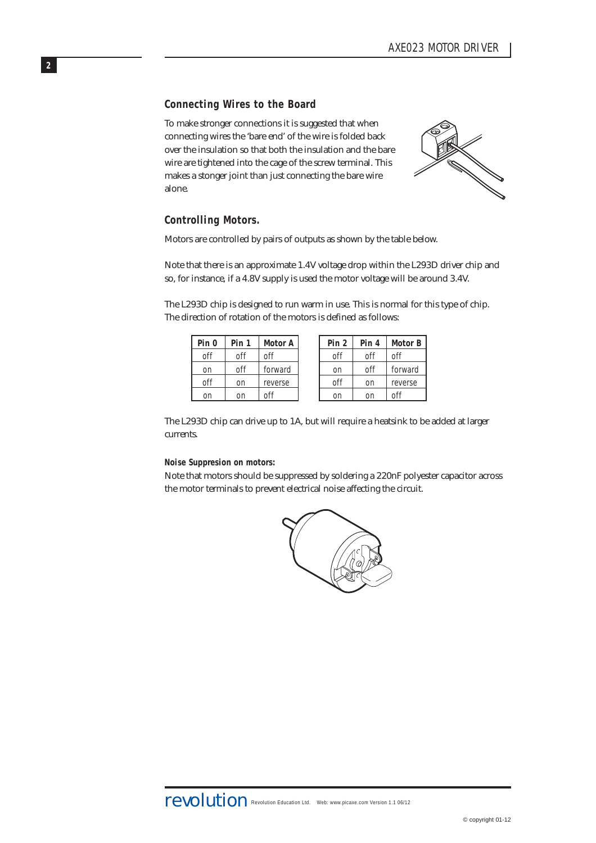# **Connecting Wires to the Board**

To make stronger connections it is suggested that when connecting wires the 'bare end' of the wire is folded back over the insulation so that both the insulation and the bare wire are tightened into the cage of the screw terminal. This makes a stonger joint than just connecting the bare wire alone.



# **Controlling Motors.**

**2**

Motors are controlled by pairs of outputs as shown by the table below.

Note that there is an approximate 1.4V voltage drop within the L293D driver chip and so, for instance, if a 4.8V supply is used the motor voltage will be around 3.4V.

The L293D chip is designed to run warm in use. This is normal for this type of chip. The direction of rotation of the motors is defined as follows:

| off<br>off<br>off<br>off          | off     |
|-----------------------------------|---------|
|                                   |         |
| off<br>forward<br>off<br>on<br>on | forward |
| off<br>off<br>reverse<br>on<br>on | reverse |
| nff<br>on<br>on<br>on<br>on       | off     |

The L293D chip can drive up to 1A, but will require a heatsink to be added at larger currents.

#### **Noise Suppresion on motors:**

Note that motors should be suppressed by soldering a 220nF polyester capacitor across the motor terminals to prevent electrical noise affecting the circuit.